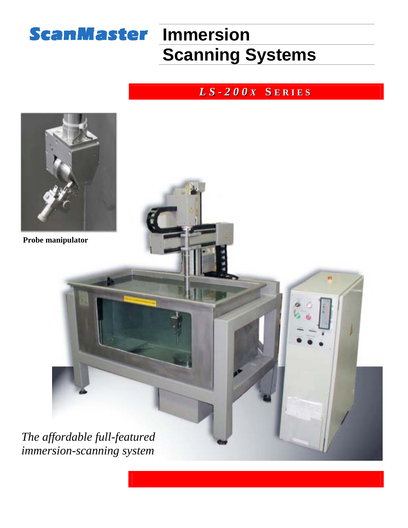## **ScanMaster Immersion**

# **Scanning Systems**

#### *L S - 2 0 0 X* **S E R I E S**

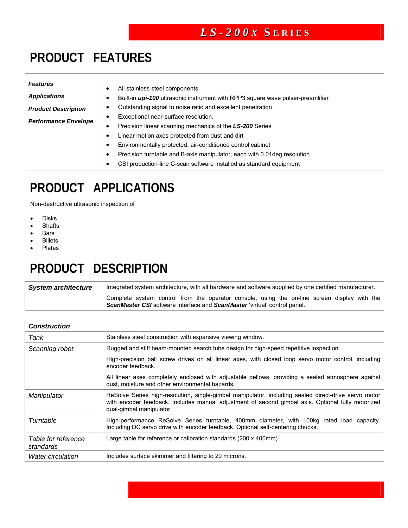#### **PRODUCT FEATURES**

| <b>Features</b>     |  |
|---------------------|--|
| <b>Applications</b> |  |

*Performance Envelope*

- All stainless steel components
- Built-in *upi-100* ultrasonic instrument with RPP3 square wave pulser-preamlifier
- *Product Description*  • Outstanding signal to noise ratio and excellent penetration
	- Exceptional near-surface resolution.
	- Precision linear scanning mechanics of the *LS-200* Series
	- Linear motion axes protected from dust and dirt
	- Environmentally protected, air-conditioned control cabinet
	- Precision turntable and B-axis manipulator, each with 0.01deg resolution
	- CSI production-line C-scan software installed as standard equipment

#### **PRODUCT APPLICATIONS**

Non-destructive ultrasonic inspection of

- Disks
- **Shafts**
- Bars
- **Billets**
- **Plates**

### **PRODUCT DESCRIPTION**

**System architecture** | Integrated system architecture, with all hardware and software supplied by one certified manufacturer. Complete system control from the operator console, using the on-line screen display with the **ScanMaster CSI** software interface and **ScanMaster** 'virtual' control panel.

| <b>Construction</b>              |                                                                                                                                                                                                                                       |
|----------------------------------|---------------------------------------------------------------------------------------------------------------------------------------------------------------------------------------------------------------------------------------|
| Tank                             | Stainless steel construction with expansive viewing window.                                                                                                                                                                           |
| Scanning robot                   | Rugged and stiff beam-mounted search tube design for high-speed repetitive inspection.                                                                                                                                                |
|                                  | High-precision ball screw drives on all linear axes, with closed loop servo motor control, including<br>encoder feedback.                                                                                                             |
|                                  | All linear axes completely enclosed with adjustable bellows, providing a sealed atmosphere against<br>dust, moisture and other environmental hazards.                                                                                 |
| Manipulator                      | ReSolve Series high-resolution, single-gimbal manipulator, including sealed direct-drive servo motor<br>with encoder feedback. Includes manual adjustment of second gimbal axis. Optional fully motorized<br>dual-gimbal manipulator. |
| Turntable                        | High-performance ReSolve Series turntable, 400mm diameter, with 100kg rated load capacity.<br>Including DC servo drive with encoder feedback. Optional self-centering chucks.                                                         |
| Table for reference<br>standards | Large table for reference or calibration standards (200 x 400mm).                                                                                                                                                                     |
| <b>Water circulation</b>         | Includes surface skimmer and filtering to 20 microns.                                                                                                                                                                                 |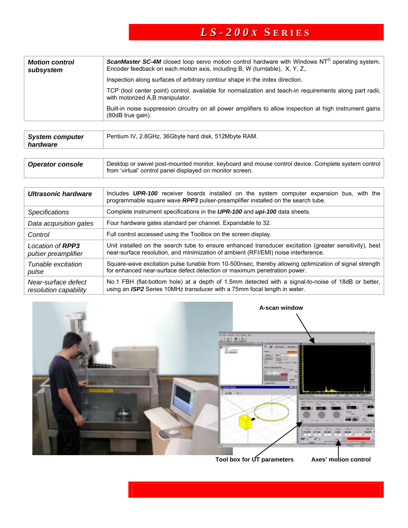| <b>Motion control</b><br>subsystem | <b>ScanMaster SC-4M</b> closed loop servo motion control hardware with Windows $NT^{\circ}$ operating system.<br>Encoder feedback on each motion axis, including B, W (turntable), X, Y, Z,. |
|------------------------------------|----------------------------------------------------------------------------------------------------------------------------------------------------------------------------------------------|
|                                    | Inspection along surfaces of arbitrary contour shape in the index direction.                                                                                                                 |
|                                    | TCP (tool center point) control, available for normalization and teach-in requirements along part radii,<br>with motorized A,B manipulator.                                                  |
|                                    | Built-in noise suppression circuitry on all power amplifiers to allow inspection at high instrument gains<br>$(80dB$ true gain).                                                             |

| <b>System computer</b><br>hardware | Pentium IV, 2.8GHz, 36Gbyte hard disk, 512Mbyte RAM. |
|------------------------------------|------------------------------------------------------|
|                                    |                                                      |

| <b>Operator console</b> | Desktop or swivel post-mounted monitor, keyboard and mouse control device. Complete system control<br>from 'virtual' control panel displayed on monitor screen. |
|-------------------------|-----------------------------------------------------------------------------------------------------------------------------------------------------------------|
|-------------------------|-----------------------------------------------------------------------------------------------------------------------------------------------------------------|

| Ultrasonic hardware                            | Includes UPR-100 receiver boards installed on the system computer expansion bus, with the<br>programmable square wave RPP3 pulser-preamplifier installed on the search tube.                 |  |
|------------------------------------------------|----------------------------------------------------------------------------------------------------------------------------------------------------------------------------------------------|--|
| <b>Specifications</b>                          | Complete instrument specifications in the UPR-100 and upi-100 data sheets.                                                                                                                   |  |
| Data acquisition gates                         | Four hardware gates standard per channel. Expandable to 32.                                                                                                                                  |  |
| Control                                        | Full control accessed using the Toolbox on the screen display.                                                                                                                               |  |
| Location of <b>RPP3</b><br>pulser preamplifier | Unit installed on the search tube to ensure enhanced transducer excitation (greater sensitivity), best<br>near-surface resolution, and minimization of ambient (RFI/EMI) noise interference. |  |
| Tunable excitation<br>pulse                    | Square-wave excitation pulse tunable from 10-500nsec, thereby allowing optimization of signal strength<br>for enhanced near-surface defect detection or maximum penetration power.           |  |
| Near-surface defect<br>resolution capability   | No.1 FBH (flat-bottom hole) at a depth of 1.5mm detected with a signal-to-noise of 18dB or better,<br>using an ISP2 Series 10MHz transducer with a 75mm focal length in water.               |  |



**Tool box for UT parameters Axes' motion control**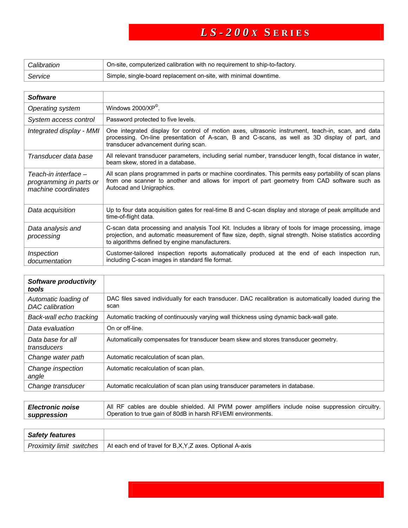| Calibration | On-site, computerized calibration with no requirement to ship-to-factory. |
|-------------|---------------------------------------------------------------------------|
| Service     | Simple, single-board replacement on-site, with minimal downtime.          |

| <b>Software</b>                                                        |                                                                                                                                                                                                                                                                   |
|------------------------------------------------------------------------|-------------------------------------------------------------------------------------------------------------------------------------------------------------------------------------------------------------------------------------------------------------------|
| Operating system                                                       | Windows $2000/XP^{\circledcirc}$ .                                                                                                                                                                                                                                |
| System access control                                                  | Password protected to five levels.                                                                                                                                                                                                                                |
| Integrated display - MMI                                               | One integrated display for control of motion axes, ultrasonic instrument, teach-in, scan, and data<br>processing. On-line presentation of A-scan, B and C-scans, as well as 3D display of part, and<br>transducer advancement during scan.                        |
| Transducer data base                                                   | All relevant transducer parameters, including serial number, transducer length, focal distance in water,<br>beam skew, stored in a database.                                                                                                                      |
| Teach-in interface –<br>programming in parts or<br>machine coordinates | All scan plans programmed in parts or machine coordinates. This permits easy portability of scan plans<br>from one scanner to another and allows for import of part geometry from CAD software such as<br>Autocad and Unigraphics.                                |
| Data acquisition                                                       | Up to four data acquisition gates for real-time B and C-scan display and storage of peak amplitude and<br>time-of-flight data.                                                                                                                                    |
| Data analysis and<br>processing                                        | C-scan data processing and analysis Tool Kit. Includes a library of tools for image processing, image<br>projection, and automatic measurement of flaw size, depth, signal strength. Noise statistics according<br>to algorithms defined by engine manufacturers. |
| Inspection<br>documentation                                            | Customer-tailored inspection reports automatically produced at the end of each inspection run,<br>including C-scan images in standard file format.                                                                                                                |

| Software productivity<br>tools                 |                                                                                                                |
|------------------------------------------------|----------------------------------------------------------------------------------------------------------------|
| Automatic loading of<br><b>DAC</b> calibration | DAC files saved individually for each transducer. DAC recalibration is automatically loaded during the<br>scan |
| Back-wall echo tracking                        | Automatic tracking of continuously varying wall thickness using dynamic back-wall gate.                        |
| Data evaluation                                | On or off-line.                                                                                                |
| Data base for all<br>transducers               | Automatically compensates for transducer beam skew and stores transducer geometry.                             |
| Change water path                              | Automatic recalculation of scan plan.                                                                          |
| Change inspection<br>angle                     | Automatic recalculation of scan plan.                                                                          |
| Change transducer                              | Automatic recalculation of scan plan using transducer parameters in database.                                  |

| <i><b>Electronic noise</b></i><br>suppression | All RF cables are double shielded. All PWM power amplifiers include noise suppression circuitry.<br>Operation to true gain of 80dB in harsh RFI/EMI environments. |
|-----------------------------------------------|-------------------------------------------------------------------------------------------------------------------------------------------------------------------|
|                                               |                                                                                                                                                                   |
| <b>Safety features</b>                        |                                                                                                                                                                   |

|--|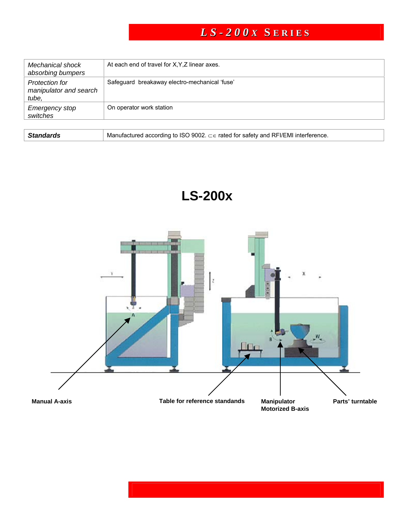| Mechanical shock<br>absorbing bumpers             | At each end of travel for X, Y, Z linear axes. |
|---------------------------------------------------|------------------------------------------------|
| Protection for<br>manipulator and search<br>tube, | Safeguard breakaway electro-mechanical 'fuse'  |
| <b>Emergency stop</b><br>switches                 | On operator work station                       |